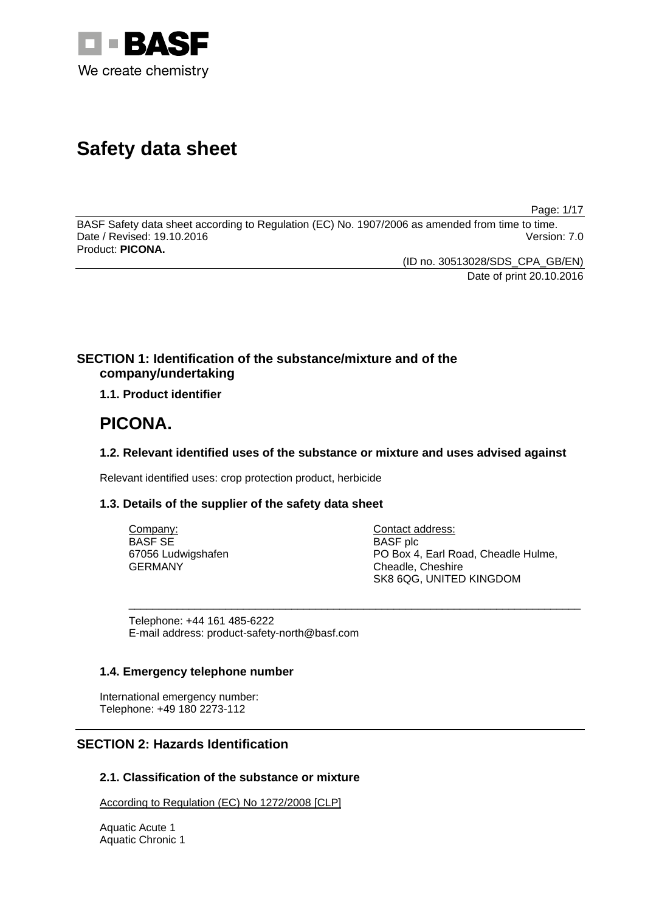

# **Safety data sheet**

Page: 1/17

BASF Safety data sheet according to Regulation (EC) No. 1907/2006 as amended from time to time. Date / Revised: 19.10.2016 Version: 7.0 Product: **PICONA.**

> (ID no. 30513028/SDS\_CPA\_GB/EN) Date of print 20.10.2016

# **SECTION 1: Identification of the substance/mixture and of the company/undertaking**

**1.1. Product identifier**

# **PICONA.**

# **1.2. Relevant identified uses of the substance or mixture and uses advised against**

Relevant identified uses: crop protection product, herbicide

# **1.3. Details of the supplier of the safety data sheet**

| Company:           | Contact address:                    |
|--------------------|-------------------------------------|
| BASF SE            | <b>BASF</b> plc                     |
| 67056 Ludwigshafen | PO Box 4, Earl Road, Cheadle Hulme, |
| GERMANY            | Cheadle, Cheshire                   |
|                    | SK8 6QG, UNITED KINGDOM             |

\_\_\_\_\_\_\_\_\_\_\_\_\_\_\_\_\_\_\_\_\_\_\_\_\_\_\_\_\_\_\_\_\_\_\_\_\_\_\_\_\_\_\_\_\_\_\_\_\_\_\_\_\_\_\_\_\_\_\_\_\_\_\_\_\_\_\_\_\_\_\_\_\_\_\_

Telephone: +44 161 485-6222 E-mail address: product-safety-north@basf.com

# **1.4. Emergency telephone number**

International emergency number: Telephone: +49 180 2273-112

# **SECTION 2: Hazards Identification**

# **2.1. Classification of the substance or mixture**

According to Regulation (EC) No 1272/2008 [CLP]

Aquatic Acute 1 Aquatic Chronic 1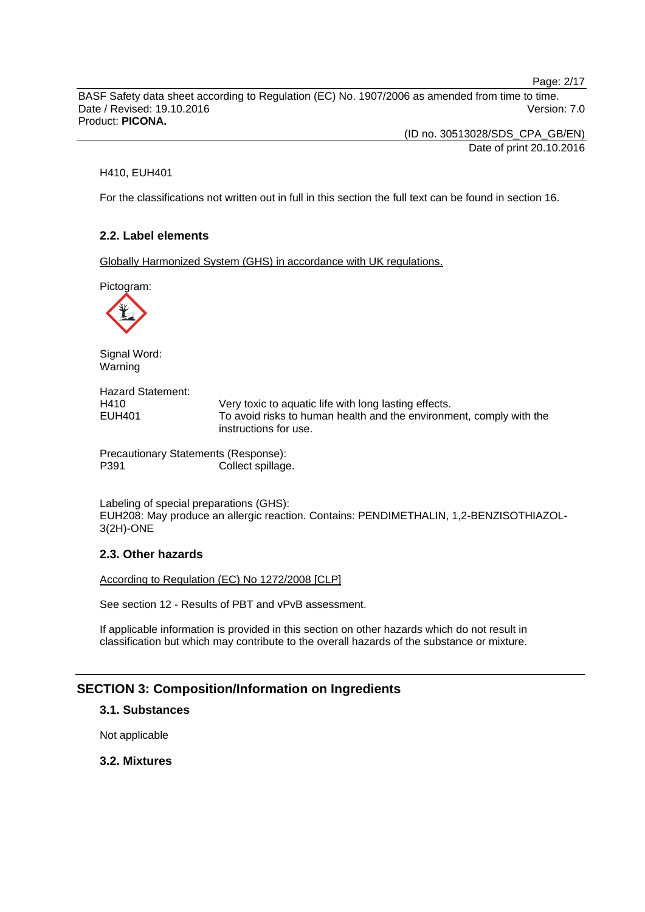Page: 2/17

BASF Safety data sheet according to Regulation (EC) No. 1907/2006 as amended from time to time. Date / Revised: 19.10.2016 **Version: 7.0** Product: **PICONA.**

> (ID no. 30513028/SDS\_CPA\_GB/EN) Date of print 20.10.2016

#### H410, EUH401

For the classifications not written out in full in this section the full text can be found in section 16.

# **2.2. Label elements**

Globally Harmonized System (GHS) in accordance with UK regulations.

Pictogram:



Signal Word: Warning

Hazard Statement: H410 Very toxic to aquatic life with long lasting effects. EUH401 To avoid risks to human health and the environment, comply with the instructions for use.

Precautionary Statements (Response): P391 Collect spillage.

Labeling of special preparations (GHS): EUH208: May produce an allergic reaction. Contains: PENDIMETHALIN, 1,2-BENZISOTHIAZOL-3(2H)-ONE

### **2.3. Other hazards**

According to Regulation (EC) No 1272/2008 [CLP]

See section 12 - Results of PBT and vPvB assessment.

If applicable information is provided in this section on other hazards which do not result in classification but which may contribute to the overall hazards of the substance or mixture.

# **SECTION 3: Composition/Information on Ingredients**

# **3.1. Substances**

Not applicable

### **3.2. Mixtures**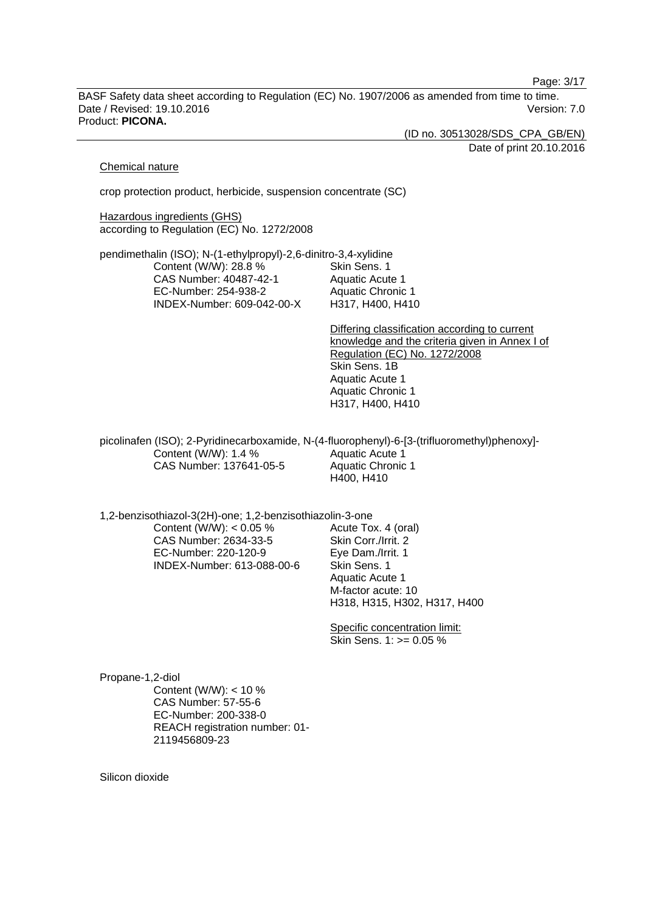Page: 3/17

BASF Safety data sheet according to Regulation (EC) No. 1907/2006 as amended from time to time. Date / Revised: 19.10.2016 **Version: 7.0** Product: **PICONA.**

(ID no. 30513028/SDS\_CPA\_GB/EN)

Date of print 20.10.2016

#### Chemical nature

crop protection product, herbicide, suspension concentrate (SC)

Hazardous ingredients (GHS) according to Regulation (EC) No. 1272/2008

pendimethalin (ISO); N-(1-ethylpropyl)-2,6-dinitro-3,4-xylidine Content (W/W): 28.8 % CAS Number: 40487-42-1 EC-Number: 254-938-2 INDEX-Number: 609-042-00-X Skin Sens. 1 Aquatic Acute 1 Aquatic Chronic 1 H317, H400, H410

> Differing classification according to current knowledge and the criteria given in Annex I of Regulation (EC) No. 1272/2008 Skin Sens. 1B Aquatic Acute 1 Aquatic Chronic 1 H317, H400, H410

picolinafen (ISO); 2-Pyridinecarboxamide, N-(4-fluorophenyl)-6-[3-(trifluoromethyl)phenoxy]- Content (W/W): 1.4 % CAS Number: 137641-05-5 Aquatic Acute 1 Aquatic Chronic 1 H400, H410

1,2-benzisothiazol-3(2H)-one; 1,2-benzisothiazolin-3-one Content (W/W):  $< 0.05$  % CAS Number: 2634-33-5 EC-Number: 220-120-9 Acute Tox. 4 (oral)

INDEX-Number: 613-088-00-6

Skin Corr./Irrit. 2 Eye Dam./Irrit. 1 Skin Sens. 1 Aquatic Acute 1 M-factor acute: 10 H318, H315, H302, H317, H400

Specific concentration limit: Skin Sens. 1: >= 0.05 %

Propane-1,2-diol Content (W/W): < 10 % CAS Number: 57-55-6 EC-Number: 200-338-0 REACH registration number: 01- 2119456809-23

Silicon dioxide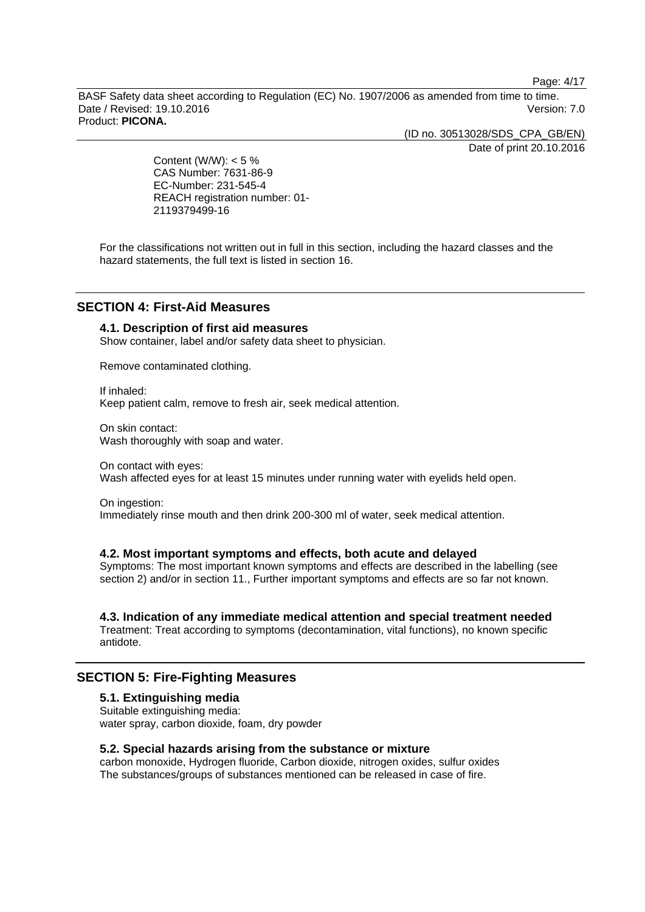Page: 4/17

BASF Safety data sheet according to Regulation (EC) No. 1907/2006 as amended from time to time. Date / Revised: 19.10.2016 **Version: 7.0** Product: **PICONA.**

(ID no. 30513028/SDS\_CPA\_GB/EN)

Date of print 20.10.2016

Content (W/W):  $< 5 \%$ CAS Number: 7631-86-9 EC-Number: 231-545-4 REACH registration number: 01- 2119379499-16

For the classifications not written out in full in this section, including the hazard classes and the hazard statements, the full text is listed in section 16.

# **SECTION 4: First-Aid Measures**

# **4.1. Description of first aid measures**

Show container, label and/or safety data sheet to physician.

Remove contaminated clothing.

If inhaled: Keep patient calm, remove to fresh air, seek medical attention.

On skin contact: Wash thoroughly with soap and water.

On contact with eyes: Wash affected eyes for at least 15 minutes under running water with eyelids held open.

On ingestion: Immediately rinse mouth and then drink 200-300 ml of water, seek medical attention.

#### **4.2. Most important symptoms and effects, both acute and delayed**

Symptoms: The most important known symptoms and effects are described in the labelling (see section 2) and/or in section 11., Further important symptoms and effects are so far not known.

# **4.3. Indication of any immediate medical attention and special treatment needed**

Treatment: Treat according to symptoms (decontamination, vital functions), no known specific antidote.

# **SECTION 5: Fire-Fighting Measures**

#### **5.1. Extinguishing media**

Suitable extinguishing media: water spray, carbon dioxide, foam, dry powder

#### **5.2. Special hazards arising from the substance or mixture**

carbon monoxide, Hydrogen fluoride, Carbon dioxide, nitrogen oxides, sulfur oxides The substances/groups of substances mentioned can be released in case of fire.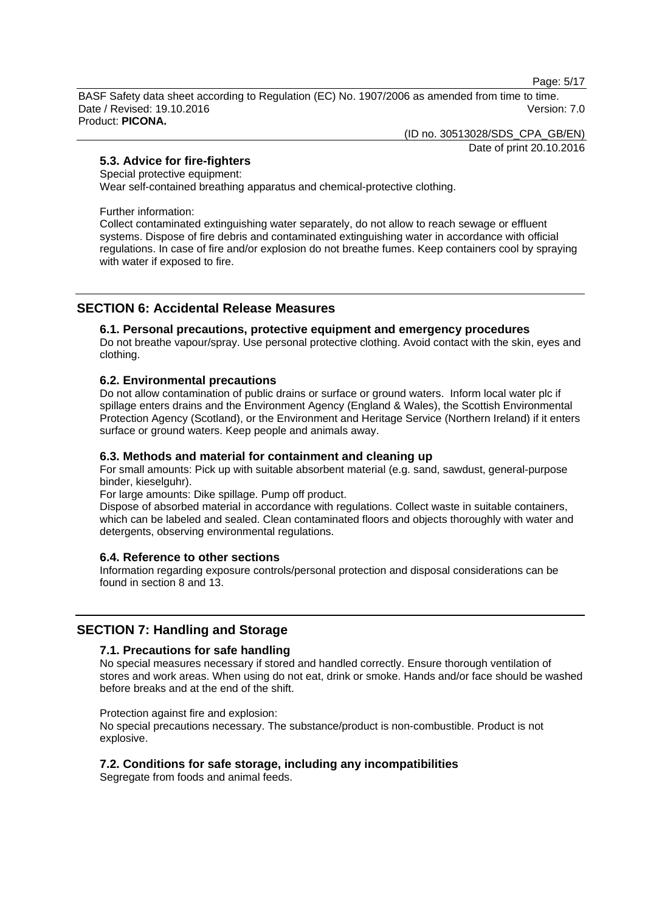Page: 5/17

BASF Safety data sheet according to Regulation (EC) No. 1907/2006 as amended from time to time. Date / Revised: 19.10.2016 Version: 7.0 Product: **PICONA.**

(ID no. 30513028/SDS\_CPA\_GB/EN)

Date of print 20.10.2016

# **5.3. Advice for fire-fighters**

### Special protective equipment:

Wear self-contained breathing apparatus and chemical-protective clothing.

Further information:

Collect contaminated extinguishing water separately, do not allow to reach sewage or effluent systems. Dispose of fire debris and contaminated extinguishing water in accordance with official regulations. In case of fire and/or explosion do not breathe fumes. Keep containers cool by spraying with water if exposed to fire.

# **SECTION 6: Accidental Release Measures**

# **6.1. Personal precautions, protective equipment and emergency procedures**

Do not breathe vapour/spray. Use personal protective clothing. Avoid contact with the skin, eyes and clothing.

# **6.2. Environmental precautions**

Do not allow contamination of public drains or surface or ground waters. Inform local water plc if spillage enters drains and the Environment Agency (England & Wales), the Scottish Environmental Protection Agency (Scotland), or the Environment and Heritage Service (Northern Ireland) if it enters surface or ground waters. Keep people and animals away.

# **6.3. Methods and material for containment and cleaning up**

For small amounts: Pick up with suitable absorbent material (e.g. sand, sawdust, general-purpose binder, kieselguhr).

For large amounts: Dike spillage. Pump off product.

Dispose of absorbed material in accordance with regulations. Collect waste in suitable containers, which can be labeled and sealed. Clean contaminated floors and objects thoroughly with water and detergents, observing environmental regulations.

# **6.4. Reference to other sections**

Information regarding exposure controls/personal protection and disposal considerations can be found in section 8 and 13.

# **SECTION 7: Handling and Storage**

# **7.1. Precautions for safe handling**

No special measures necessary if stored and handled correctly. Ensure thorough ventilation of stores and work areas. When using do not eat, drink or smoke. Hands and/or face should be washed before breaks and at the end of the shift.

Protection against fire and explosion:

No special precautions necessary. The substance/product is non-combustible. Product is not explosive.

# **7.2. Conditions for safe storage, including any incompatibilities**

Segregate from foods and animal feeds.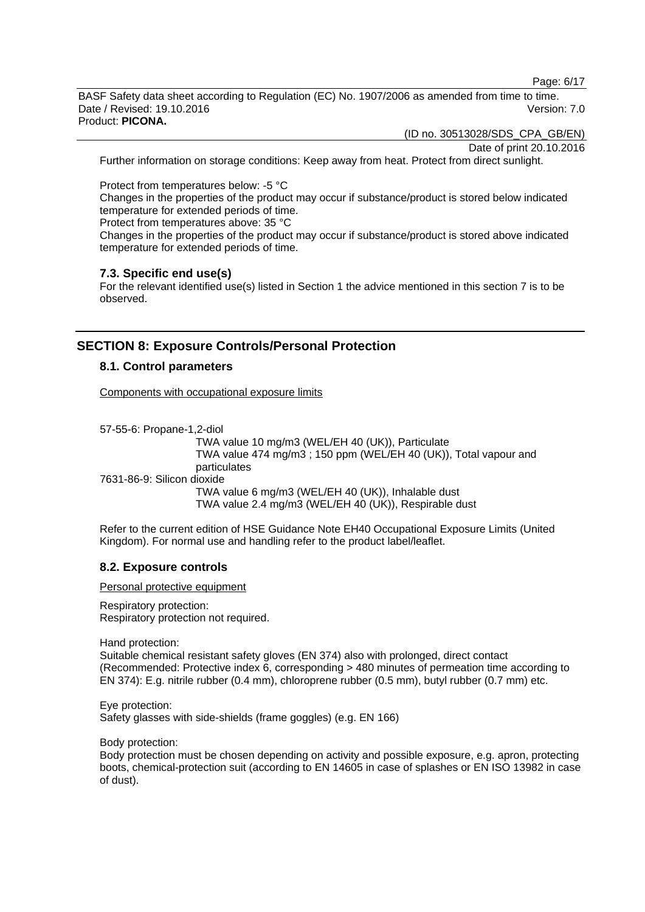Page: 6/17

BASF Safety data sheet according to Regulation (EC) No. 1907/2006 as amended from time to time. Date / Revised: 19.10.2016 **Version: 7.0** Product: **PICONA.**

(ID no. 30513028/SDS\_CPA\_GB/EN)

Date of print 20.10.2016

Further information on storage conditions: Keep away from heat. Protect from direct sunlight.

Protect from temperatures below: -5 °C

Changes in the properties of the product may occur if substance/product is stored below indicated temperature for extended periods of time.

Protect from temperatures above: 35 °C

Changes in the properties of the product may occur if substance/product is stored above indicated temperature for extended periods of time.

### **7.3. Specific end use(s)**

For the relevant identified use(s) listed in Section 1 the advice mentioned in this section 7 is to be observed.

# **SECTION 8: Exposure Controls/Personal Protection**

### **8.1. Control parameters**

Components with occupational exposure limits

57-55-6: Propane-1,2-diol TWA value 10 mg/m3 (WEL/EH 40 (UK)), Particulate TWA value 474 mg/m3 ; 150 ppm (WEL/EH 40 (UK)), Total vapour and particulates 7631-86-9: Silicon dioxide TWA value 6 mg/m3 (WEL/EH 40 (UK)), Inhalable dust TWA value 2.4 mg/m3 (WEL/EH 40 (UK)), Respirable dust

Refer to the current edition of HSE Guidance Note EH40 Occupational Exposure Limits (United Kingdom). For normal use and handling refer to the product label/leaflet.

# **8.2. Exposure controls**

Personal protective equipment

Respiratory protection: Respiratory protection not required.

Hand protection:

Suitable chemical resistant safety gloves (EN 374) also with prolonged, direct contact (Recommended: Protective index 6, corresponding > 480 minutes of permeation time according to EN 374): E.g. nitrile rubber (0.4 mm), chloroprene rubber (0.5 mm), butyl rubber (0.7 mm) etc.

Eye protection: Safety glasses with side-shields (frame goggles) (e.g. EN 166)

Body protection:

Body protection must be chosen depending on activity and possible exposure, e.g. apron, protecting boots, chemical-protection suit (according to EN 14605 in case of splashes or EN ISO 13982 in case of dust).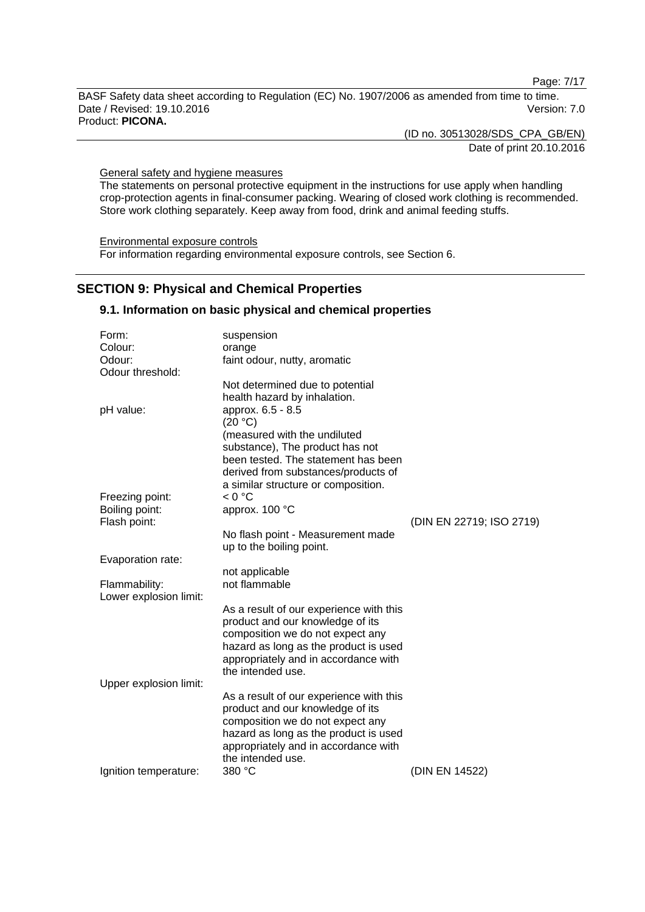Page: 7/17

BASF Safety data sheet according to Regulation (EC) No. 1907/2006 as amended from time to time. Date / Revised: 19.10.2016 Version: 7.0 Product: **PICONA.**

(ID no. 30513028/SDS\_CPA\_GB/EN)

Date of print 20.10.2016

General safety and hygiene measures

The statements on personal protective equipment in the instructions for use apply when handling crop-protection agents in final-consumer packing. Wearing of closed work clothing is recommended. Store work clothing separately. Keep away from food, drink and animal feeding stuffs.

Environmental exposure controls For information regarding environmental exposure controls, see Section 6.

# **SECTION 9: Physical and Chemical Properties**

### **9.1. Information on basic physical and chemical properties**

| Form:                          | suspension                                                |                          |
|--------------------------------|-----------------------------------------------------------|--------------------------|
| Colour:                        | orange                                                    |                          |
| Odour:                         | faint odour, nutty, aromatic                              |                          |
| Odour threshold:               |                                                           |                          |
|                                | Not determined due to potential                           |                          |
|                                | health hazard by inhalation.                              |                          |
| pH value:                      | approx. 6.5 - 8.5                                         |                          |
|                                | (20 °C)                                                   |                          |
|                                | (measured with the undiluted                              |                          |
|                                | substance), The product has not                           |                          |
|                                | been tested. The statement has been                       |                          |
|                                | derived from substances/products of                       |                          |
|                                | a similar structure or composition.                       |                          |
| Freezing point:                | < 0 °C                                                    |                          |
| Boiling point:<br>Flash point: | approx. 100 °C                                            | (DIN EN 22719; ISO 2719) |
|                                | No flash point - Measurement made                         |                          |
|                                | up to the boiling point.                                  |                          |
| Evaporation rate:              |                                                           |                          |
|                                | not applicable                                            |                          |
| Flammability:                  | not flammable                                             |                          |
| Lower explosion limit:         |                                                           |                          |
|                                | As a result of our experience with this                   |                          |
|                                | product and our knowledge of its                          |                          |
|                                | composition we do not expect any                          |                          |
|                                | hazard as long as the product is used                     |                          |
|                                | appropriately and in accordance with                      |                          |
|                                | the intended use.                                         |                          |
| Upper explosion limit:         |                                                           |                          |
|                                | As a result of our experience with this                   |                          |
|                                | product and our knowledge of its                          |                          |
|                                | composition we do not expect any                          |                          |
|                                | hazard as long as the product is used                     |                          |
|                                | appropriately and in accordance with<br>the intended use. |                          |
| Ignition temperature:          | 380 °C                                                    | (DIN EN 14522)           |
|                                |                                                           |                          |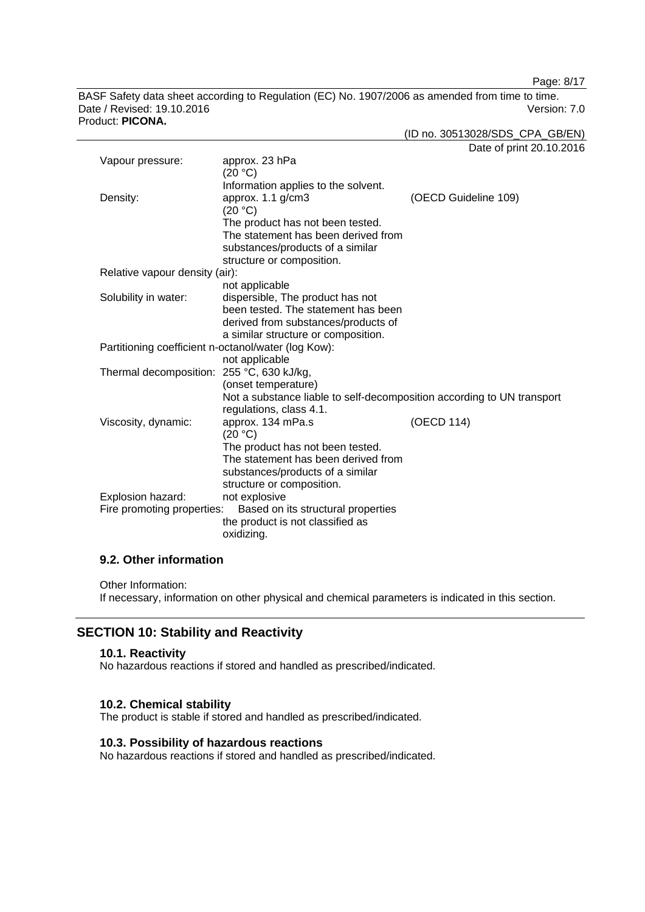Page: 8/17

BASF Safety data sheet according to Regulation (EC) No. 1907/2006 as amended from time to time. Date / Revised: 19.10.2016 Version: 7.0 Product: **PICONA.**

(ID no. 30513028/SDS\_CPA\_GB/EN)

Date of print 20.10.2016

| Vapour pressure:                                    | approx. 23 hPa<br>(20 °C)                                                                         |                      |
|-----------------------------------------------------|---------------------------------------------------------------------------------------------------|----------------------|
|                                                     | Information applies to the solvent.                                                               |                      |
| Density:                                            | approx. 1.1 g/cm3                                                                                 | (OECD Guideline 109) |
|                                                     | (20 °C)                                                                                           |                      |
|                                                     | The product has not been tested.                                                                  |                      |
|                                                     | The statement has been derived from                                                               |                      |
|                                                     | substances/products of a similar                                                                  |                      |
|                                                     | structure or composition.                                                                         |                      |
| Relative vapour density (air):                      |                                                                                                   |                      |
|                                                     | not applicable                                                                                    |                      |
| Solubility in water:                                | dispersible, The product has not                                                                  |                      |
|                                                     | been tested. The statement has been                                                               |                      |
|                                                     | derived from substances/products of                                                               |                      |
|                                                     | a similar structure or composition.                                                               |                      |
| Partitioning coefficient n-octanol/water (log Kow): |                                                                                                   |                      |
|                                                     | not applicable                                                                                    |                      |
| Thermal decomposition: 255 °C, 630 kJ/kg,           |                                                                                                   |                      |
|                                                     | (onset temperature)                                                                               |                      |
|                                                     | Not a substance liable to self-decomposition according to UN transport<br>regulations, class 4.1. |                      |
| Viscosity, dynamic:                                 | approx. 134 mPa.s                                                                                 | (OECD 114)           |
|                                                     | (20 °C)                                                                                           |                      |
|                                                     | The product has not been tested.                                                                  |                      |
|                                                     | The statement has been derived from                                                               |                      |
|                                                     | substances/products of a similar                                                                  |                      |
|                                                     | structure or composition.                                                                         |                      |
| Explosion hazard:                                   | not explosive                                                                                     |                      |
| Fire promoting properties:                          | Based on its structural properties                                                                |                      |
|                                                     | the product is not classified as                                                                  |                      |
|                                                     | oxidizing.                                                                                        |                      |

# **9.2. Other information**

Other Information:

If necessary, information on other physical and chemical parameters is indicated in this section.

# **SECTION 10: Stability and Reactivity**

### **10.1. Reactivity**

No hazardous reactions if stored and handled as prescribed/indicated.

### **10.2. Chemical stability**

The product is stable if stored and handled as prescribed/indicated.

# **10.3. Possibility of hazardous reactions**

No hazardous reactions if stored and handled as prescribed/indicated.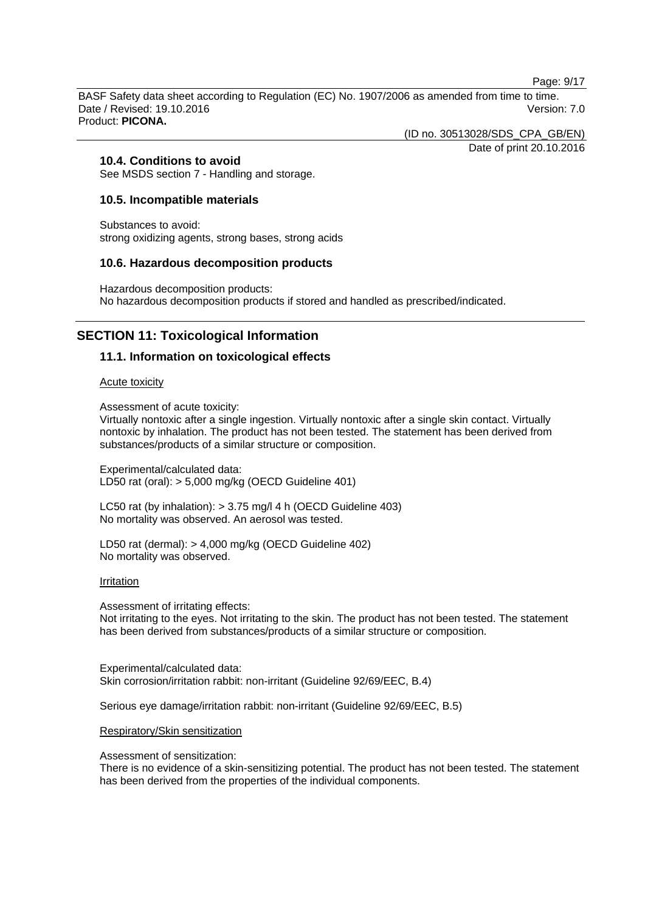Page: 9/17

BASF Safety data sheet according to Regulation (EC) No. 1907/2006 as amended from time to time. Date / Revised: 19.10.2016 **Version: 7.0** Product: **PICONA.**

(ID no. 30513028/SDS\_CPA\_GB/EN)

Date of print 20.10.2016

# **10.4. Conditions to avoid**

See MSDS section 7 - Handling and storage.

### **10.5. Incompatible materials**

Substances to avoid: strong oxidizing agents, strong bases, strong acids

### **10.6. Hazardous decomposition products**

Hazardous decomposition products: No hazardous decomposition products if stored and handled as prescribed/indicated.

# **SECTION 11: Toxicological Information**

# **11.1. Information on toxicological effects**

#### Acute toxicity

Assessment of acute toxicity:

Virtually nontoxic after a single ingestion. Virtually nontoxic after a single skin contact. Virtually nontoxic by inhalation. The product has not been tested. The statement has been derived from substances/products of a similar structure or composition.

Experimental/calculated data: LD50 rat (oral): > 5,000 mg/kg (OECD Guideline 401)

LC50 rat (by inhalation): > 3.75 mg/l 4 h (OECD Guideline 403) No mortality was observed. An aerosol was tested.

LD50 rat (dermal): > 4,000 mg/kg (OECD Guideline 402) No mortality was observed.

#### Irritation

Assessment of irritating effects: Not irritating to the eyes. Not irritating to the skin. The product has not been tested. The statement has been derived from substances/products of a similar structure or composition.

Experimental/calculated data: Skin corrosion/irritation rabbit: non-irritant (Guideline 92/69/EEC, B.4)

Serious eye damage/irritation rabbit: non-irritant (Guideline 92/69/EEC, B.5)

#### Respiratory/Skin sensitization

Assessment of sensitization:

There is no evidence of a skin-sensitizing potential. The product has not been tested. The statement has been derived from the properties of the individual components.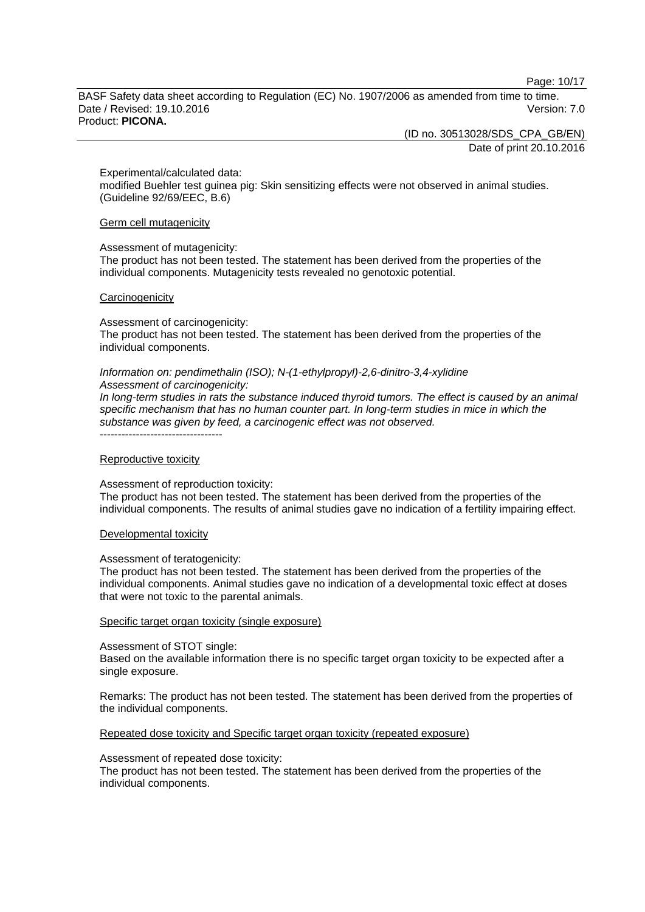Page: 10/17

BASF Safety data sheet according to Regulation (EC) No. 1907/2006 as amended from time to time. Date / Revised: 19.10.2016 **Version: 7.0** Product: **PICONA.**

(ID no. 30513028/SDS\_CPA\_GB/EN)

Date of print 20.10.2016

Experimental/calculated data:

modified Buehler test guinea pig: Skin sensitizing effects were not observed in animal studies. (Guideline 92/69/EEC, B.6)

Germ cell mutagenicity

#### Assessment of mutagenicity:

The product has not been tested. The statement has been derived from the properties of the individual components. Mutagenicity tests revealed no genotoxic potential.

#### **Carcinogenicity**

Assessment of carcinogenicity:

The product has not been tested. The statement has been derived from the properties of the individual components.

#### *Information on: pendimethalin (ISO); N-(1-ethylpropyl)-2,6-dinitro-3,4-xylidine Assessment of carcinogenicity:*

*In long-term studies in rats the substance induced thyroid tumors. The effect is caused by an animal specific mechanism that has no human counter part. In long-term studies in mice in which the substance was given by feed, a carcinogenic effect was not observed.* ----------------------------------

#### Reproductive toxicity

Assessment of reproduction toxicity:

The product has not been tested. The statement has been derived from the properties of the individual components. The results of animal studies gave no indication of a fertility impairing effect.

#### Developmental toxicity

#### Assessment of teratogenicity:

The product has not been tested. The statement has been derived from the properties of the individual components. Animal studies gave no indication of a developmental toxic effect at doses that were not toxic to the parental animals.

#### Specific target organ toxicity (single exposure)

#### Assessment of STOT single:

Based on the available information there is no specific target organ toxicity to be expected after a single exposure.

Remarks: The product has not been tested. The statement has been derived from the properties of the individual components.

#### Repeated dose toxicity and Specific target organ toxicity (repeated exposure)

#### Assessment of repeated dose toxicity:

The product has not been tested. The statement has been derived from the properties of the individual components.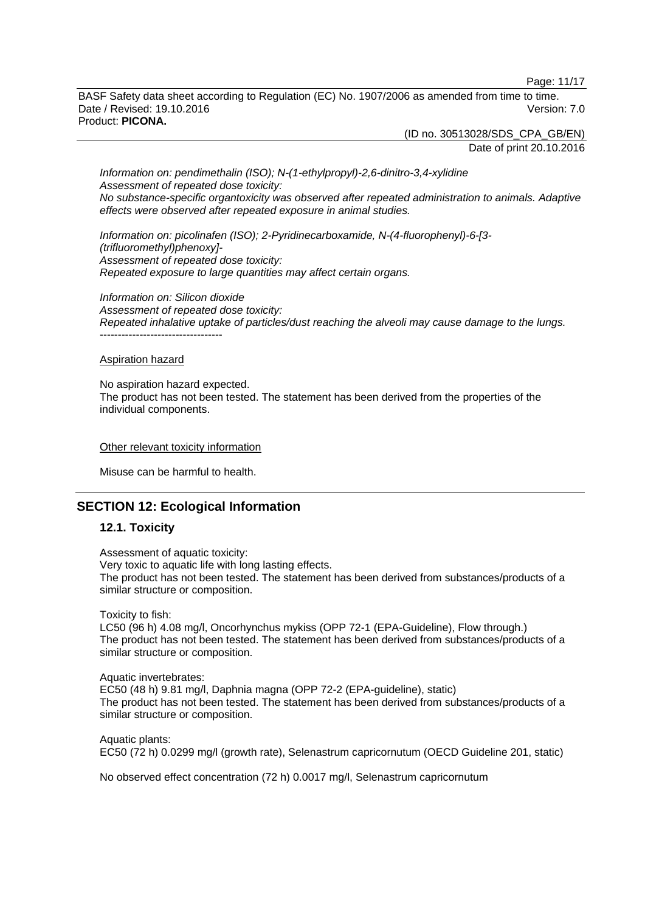Page: 11/17

BASF Safety data sheet according to Regulation (EC) No. 1907/2006 as amended from time to time. Date / Revised: 19.10.2016 **Version: 7.0** Product: **PICONA.**

> (ID no. 30513028/SDS\_CPA\_GB/EN) Date of print 20.10.2016

*Information on: pendimethalin (ISO); N-(1-ethylpropyl)-2,6-dinitro-3,4-xylidine Assessment of repeated dose toxicity: No substance-specific organtoxicity was observed after repeated administration to animals. Adaptive effects were observed after repeated exposure in animal studies.*

*Information on: picolinafen (ISO); 2-Pyridinecarboxamide, N-(4-fluorophenyl)-6-[3- (trifluoromethyl)phenoxy]- Assessment of repeated dose toxicity: Repeated exposure to large quantities may affect certain organs.*

*Information on: Silicon dioxide Assessment of repeated dose toxicity: Repeated inhalative uptake of particles/dust reaching the alveoli may cause damage to the lungs.* ----------------------------------

#### Aspiration hazard

No aspiration hazard expected. The product has not been tested. The statement has been derived from the properties of the individual components.

#### Other relevant toxicity information

Misuse can be harmful to health.

# **SECTION 12: Ecological Information**

### **12.1. Toxicity**

Assessment of aquatic toxicity: Very toxic to aquatic life with long lasting effects. The product has not been tested. The statement has been derived from substances/products of a similar structure or composition.

Toxicity to fish:

LC50 (96 h) 4.08 mg/l, Oncorhynchus mykiss (OPP 72-1 (EPA-Guideline), Flow through.) The product has not been tested. The statement has been derived from substances/products of a similar structure or composition.

Aquatic invertebrates: EC50 (48 h) 9.81 mg/l, Daphnia magna (OPP 72-2 (EPA-guideline), static) The product has not been tested. The statement has been derived from substances/products of a similar structure or composition.

Aquatic plants: EC50 (72 h) 0.0299 mg/l (growth rate), Selenastrum capricornutum (OECD Guideline 201, static)

No observed effect concentration (72 h) 0.0017 mg/l, Selenastrum capricornutum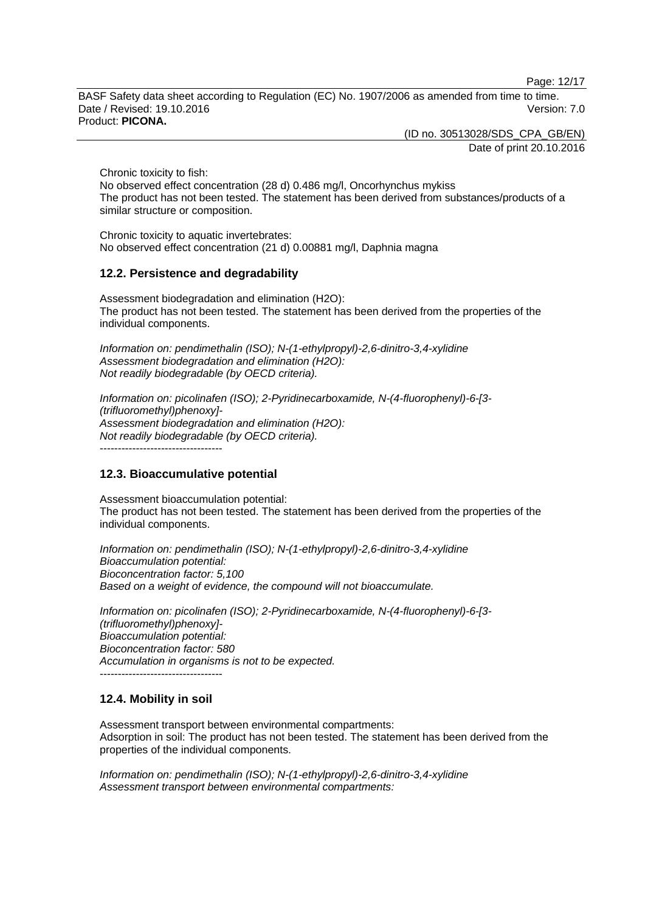Page: 12/17

BASF Safety data sheet according to Regulation (EC) No. 1907/2006 as amended from time to time. Date / Revised: 19.10.2016 **Version: 7.0** Product: **PICONA.**

(ID no. 30513028/SDS\_CPA\_GB/EN)

Date of print 20.10.2016

Chronic toxicity to fish:

No observed effect concentration (28 d) 0.486 mg/l, Oncorhynchus mykiss The product has not been tested. The statement has been derived from substances/products of a similar structure or composition.

Chronic toxicity to aquatic invertebrates: No observed effect concentration (21 d) 0.00881 mg/l, Daphnia magna

# **12.2. Persistence and degradability**

Assessment biodegradation and elimination (H2O): The product has not been tested. The statement has been derived from the properties of the individual components.

*Information on: pendimethalin (ISO); N-(1-ethylpropyl)-2,6-dinitro-3,4-xylidine Assessment biodegradation and elimination (H2O): Not readily biodegradable (by OECD criteria).*

*Information on: picolinafen (ISO); 2-Pyridinecarboxamide, N-(4-fluorophenyl)-6-[3- (trifluoromethyl)phenoxy]- Assessment biodegradation and elimination (H2O): Not readily biodegradable (by OECD criteria).* ----------------------------------

**12.3. Bioaccumulative potential**

Assessment bioaccumulation potential: The product has not been tested. The statement has been derived from the properties of the individual components.

*Information on: pendimethalin (ISO); N-(1-ethylpropyl)-2,6-dinitro-3,4-xylidine Bioaccumulation potential: Bioconcentration factor: 5,100 Based on a weight of evidence, the compound will not bioaccumulate.*

*Information on: picolinafen (ISO); 2-Pyridinecarboxamide, N-(4-fluorophenyl)-6-[3- (trifluoromethyl)phenoxy]- Bioaccumulation potential: Bioconcentration factor: 580 Accumulation in organisms is not to be expected.* ----------------------------------

# **12.4. Mobility in soil**

Assessment transport between environmental compartments: Adsorption in soil: The product has not been tested. The statement has been derived from the properties of the individual components.

*Information on: pendimethalin (ISO); N-(1-ethylpropyl)-2,6-dinitro-3,4-xylidine Assessment transport between environmental compartments:*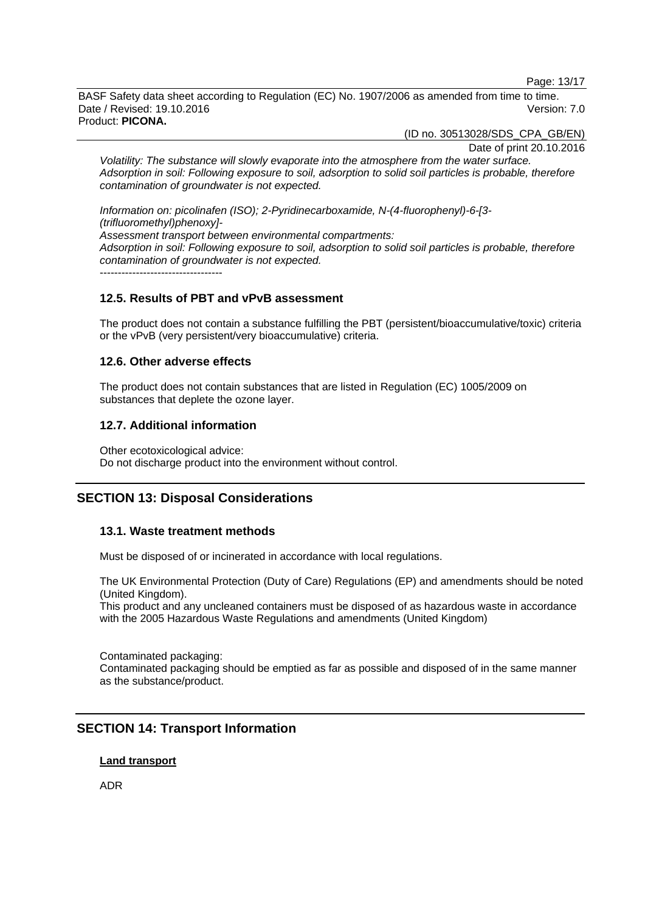Page: 13/17

BASF Safety data sheet according to Regulation (EC) No. 1907/2006 as amended from time to time. Date / Revised: 19.10.2016 **Version: 7.0** Product: **PICONA.**

(ID no. 30513028/SDS\_CPA\_GB/EN)

Date of print 20.10.2016

*Volatility: The substance will slowly evaporate into the atmosphere from the water surface. Adsorption in soil: Following exposure to soil, adsorption to solid soil particles is probable, therefore contamination of groundwater is not expected.*

*Information on: picolinafen (ISO); 2-Pyridinecarboxamide, N-(4-fluorophenyl)-6-[3- (trifluoromethyl)phenoxy]- Assessment transport between environmental compartments: Adsorption in soil: Following exposure to soil, adsorption to solid soil particles is probable, therefore contamination of groundwater is not expected.*  $-$ 

# **12.5. Results of PBT and vPvB assessment**

The product does not contain a substance fulfilling the PBT (persistent/bioaccumulative/toxic) criteria or the vPvB (very persistent/very bioaccumulative) criteria.

### **12.6. Other adverse effects**

The product does not contain substances that are listed in Regulation (EC) 1005/2009 on substances that deplete the ozone layer.

### **12.7. Additional information**

Other ecotoxicological advice: Do not discharge product into the environment without control.

# **SECTION 13: Disposal Considerations**

# **13.1. Waste treatment methods**

Must be disposed of or incinerated in accordance with local regulations.

The UK Environmental Protection (Duty of Care) Regulations (EP) and amendments should be noted (United Kingdom).

This product and any uncleaned containers must be disposed of as hazardous waste in accordance with the 2005 Hazardous Waste Regulations and amendments (United Kingdom)

Contaminated packaging: Contaminated packaging should be emptied as far as possible and disposed of in the same manner as the substance/product.

# **SECTION 14: Transport Information**

# **Land transport**

ADR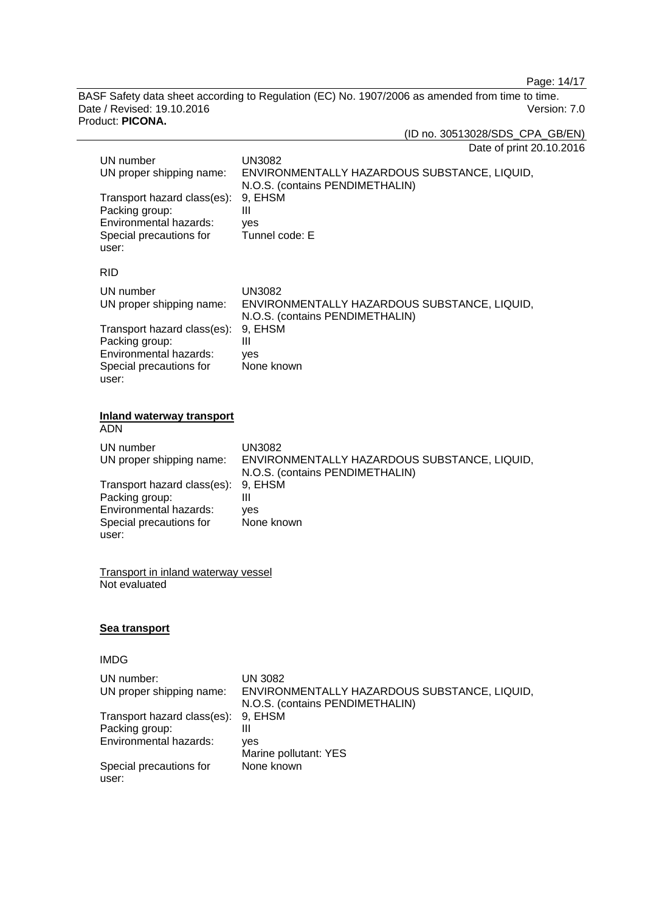Page: 14/17

BASF Safety data sheet according to Regulation (EC) No. 1907/2006 as amended from time to time. Date / Revised: 19.10.2016 Version: 7.0 Product: **PICONA.**

(ID no. 30513028/SDS\_CPA\_GB/EN)

| Date of print 20.10.2016 |  |  |
|--------------------------|--|--|
|--------------------------|--|--|

| UN number<br>UN proper shipping name:<br>Transport hazard class(es):<br>Packing group:<br>Environmental hazards:<br>Special precautions for<br>user: | <b>UN3082</b><br>ENVIRONMENTALLY HAZARDOUS SUBSTANCE, LIQUID,<br>N.O.S. (contains PENDIMETHALIN)<br>9, EHSM<br>III<br>yes<br>Tunnel code: E |
|------------------------------------------------------------------------------------------------------------------------------------------------------|---------------------------------------------------------------------------------------------------------------------------------------------|
| <b>RID</b>                                                                                                                                           |                                                                                                                                             |
| UN number<br>UN proper shipping name:                                                                                                                | <b>UN3082</b><br>ENVIRONMENTALLY HAZARDOUS SUBSTANCE, LIQUID,<br>N.O.S. (contains PENDIMETHALIN)                                            |
| Transport hazard class(es):<br>Packing group:<br>Environmental hazards:<br>Special precautions for<br>user:                                          | 9, EHSM<br>III<br>yes<br>None known                                                                                                         |
| <b>Inland waterway transport</b><br><b>ADN</b>                                                                                                       |                                                                                                                                             |
| UN number<br>UN proper shipping name:                                                                                                                | <b>UN3082</b><br>ENVIRONMENTALLY HAZARDOUS SUBSTANCE, LIQUID,<br>N.O.S. (contains PENDIMETHALIN)                                            |
| Transport hazard class(es):<br>Packing group:<br>Environmental hazards:<br>Special precautions for<br>user:                                          | 9, EHSM<br>III<br>yes<br>None known                                                                                                         |
| <b>Transport in inland waterway vessel</b><br>Not evaluated                                                                                          |                                                                                                                                             |
| <u>Sea transport</u>                                                                                                                                 |                                                                                                                                             |
| <b>IMDG</b>                                                                                                                                          |                                                                                                                                             |
| UN number:<br>UN proper shipping name:                                                                                                               | <b>UN 3082</b><br>ENVIRONMENTALLY HAZARDOUS SUBSTANCE, LIQUID,<br>N.O.S. (contains PENDIMETHALIN)                                           |
| Transport hazard class(es):<br>Packing group:<br>Environmental hazards:                                                                              | 9, EHSM<br>$\mathbf{III}$                                                                                                                   |
|                                                                                                                                                      | yes<br>Marine pollutant: YES                                                                                                                |
| Special precautions for<br>user:                                                                                                                     | None known                                                                                                                                  |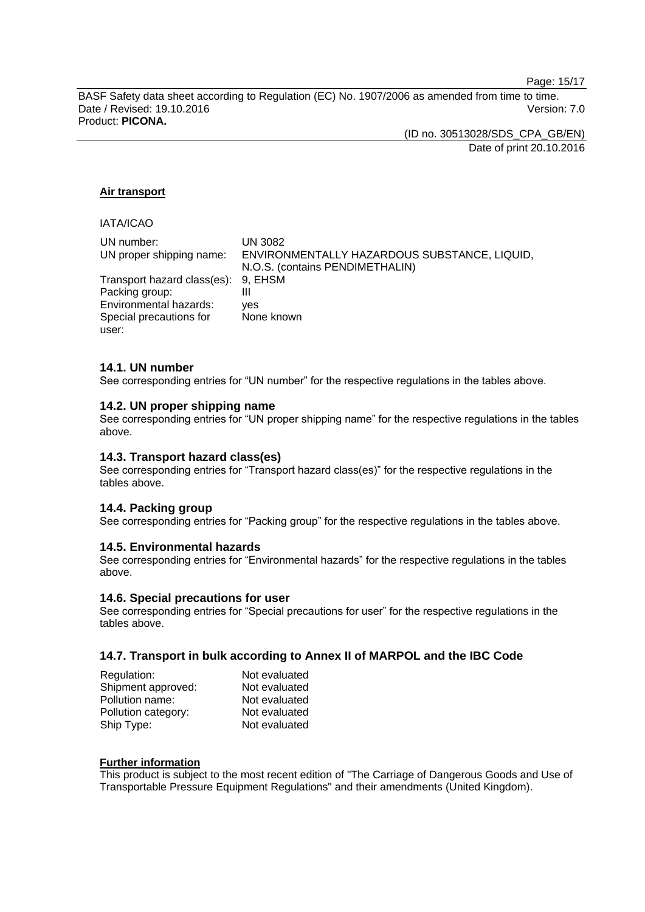Page: 15/17

BASF Safety data sheet according to Regulation (EC) No. 1907/2006 as amended from time to time. Date / Revised: 19.10.2016 **Version: 7.0** Product: **PICONA.**

> (ID no. 30513028/SDS\_CPA\_GB/EN) Date of print 20.10.2016

### **Air transport**

# IATA/ICAO

| UN number:                          | UN 3082                                      |
|-------------------------------------|----------------------------------------------|
| UN proper shipping name:            | ENVIRONMENTALLY HAZARDOUS SUBSTANCE, LIQUID, |
|                                     | N.O.S. (contains PENDIMETHALIN)              |
| Transport hazard class(es): 9, EHSM |                                              |
| Packing group:                      | Ш                                            |
| Environmental hazards:              | ves                                          |
| Special precautions for             | None known                                   |
| user:                               |                                              |

#### **14.1. UN number**

See corresponding entries for "UN number" for the respective regulations in the tables above.

#### **14.2. UN proper shipping name**

See corresponding entries for "UN proper shipping name" for the respective regulations in the tables above.

### **14.3. Transport hazard class(es)**

See corresponding entries for "Transport hazard class(es)" for the respective regulations in the tables above.

#### **14.4. Packing group**

See corresponding entries for "Packing group" for the respective regulations in the tables above.

#### **14.5. Environmental hazards**

See corresponding entries for "Environmental hazards" for the respective regulations in the tables above.

#### **14.6. Special precautions for user**

See corresponding entries for "Special precautions for user" for the respective regulations in the tables above.

### **14.7. Transport in bulk according to Annex II of MARPOL and the IBC Code**

| Regulation:         | Not evaluated |
|---------------------|---------------|
| Shipment approved:  | Not evaluated |
| Pollution name:     | Not evaluated |
| Pollution category: | Not evaluated |
| Ship Type:          | Not evaluated |

#### **Further information**

This product is subject to the most recent edition of "The Carriage of Dangerous Goods and Use of Transportable Pressure Equipment Regulations" and their amendments (United Kingdom).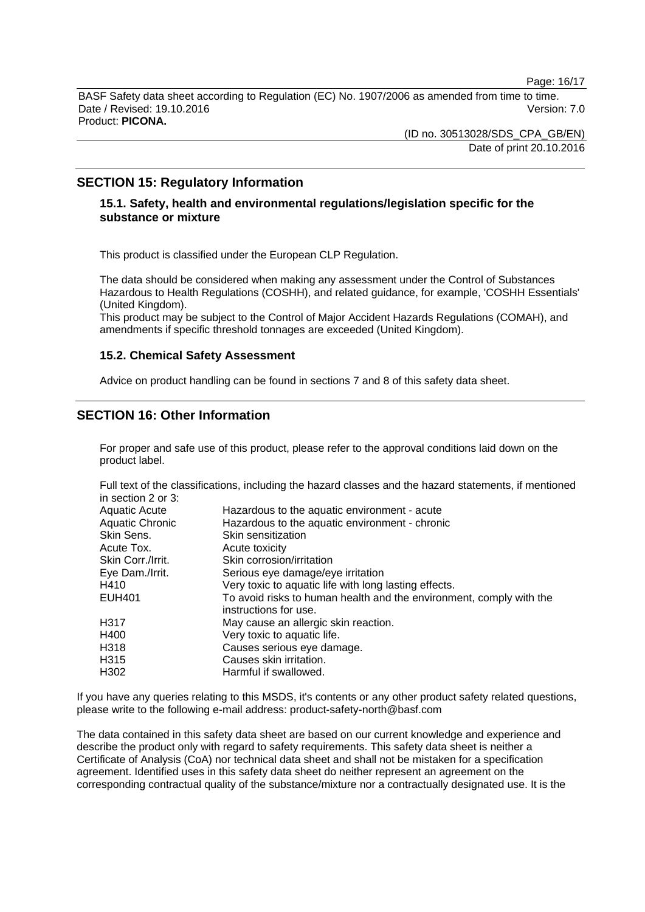Page: 16/17

BASF Safety data sheet according to Regulation (EC) No. 1907/2006 as amended from time to time. Date / Revised: 19.10.2016 **Version: 7.0** Product: **PICONA.**

> (ID no. 30513028/SDS\_CPA\_GB/EN) Date of print 20.10.2016

# **SECTION 15: Regulatory Information**

# **15.1. Safety, health and environmental regulations/legislation specific for the substance or mixture**

This product is classified under the European CLP Regulation.

The data should be considered when making any assessment under the Control of Substances Hazardous to Health Regulations (COSHH), and related guidance, for example, 'COSHH Essentials' (United Kingdom).

This product may be subject to the Control of Major Accident Hazards Regulations (COMAH), and amendments if specific threshold tonnages are exceeded (United Kingdom).

### **15.2. Chemical Safety Assessment**

Advice on product handling can be found in sections 7 and 8 of this safety data sheet.

# **SECTION 16: Other Information**

For proper and safe use of this product, please refer to the approval conditions laid down on the product label.

Full text of the classifications, including the hazard classes and the hazard statements, if mentioned in section 2 or 3:

| Hazardous to the aquatic environment - acute                                                 |
|----------------------------------------------------------------------------------------------|
| Hazardous to the aquatic environment - chronic                                               |
| Skin sensitization                                                                           |
| Acute toxicity                                                                               |
| Skin corrosion/irritation                                                                    |
| Serious eye damage/eye irritation                                                            |
| Very toxic to aquatic life with long lasting effects.                                        |
| To avoid risks to human health and the environment, comply with the<br>instructions for use. |
| May cause an allergic skin reaction.                                                         |
| Very toxic to aquatic life.                                                                  |
| Causes serious eye damage.                                                                   |
| Causes skin irritation.                                                                      |
| Harmful if swallowed.                                                                        |
|                                                                                              |

If you have any queries relating to this MSDS, it's contents or any other product safety related questions, please write to the following e-mail address: product-safety-north@basf.com

The data contained in this safety data sheet are based on our current knowledge and experience and describe the product only with regard to safety requirements. This safety data sheet is neither a Certificate of Analysis (CoA) nor technical data sheet and shall not be mistaken for a specification agreement. Identified uses in this safety data sheet do neither represent an agreement on the corresponding contractual quality of the substance/mixture nor a contractually designated use. It is the